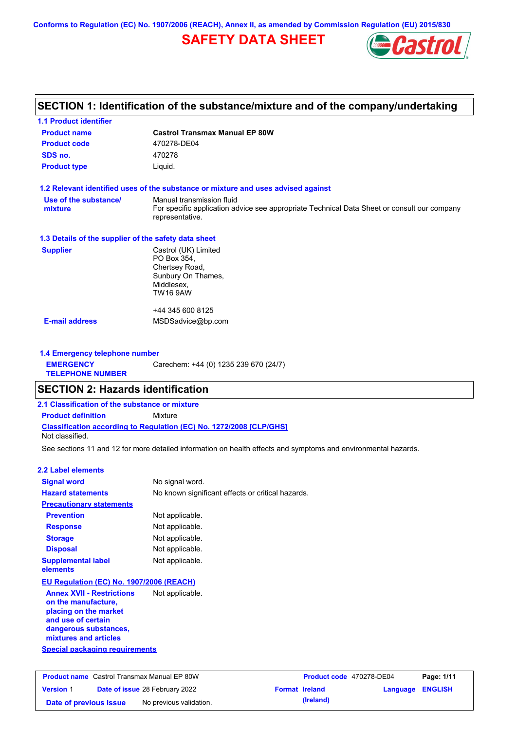**Conforms to Regulation (EC) No. 1907/2006 (REACH), Annex II, as amended by Commission Regulation (EU) 2015/830**

# **SAFETY DATA SHEET**



## **SECTION 1: Identification of the substance/mixture and of the company/undertaking**

| <b>1.1 Product identifier</b>                        |                                                                                                                                             |
|------------------------------------------------------|---------------------------------------------------------------------------------------------------------------------------------------------|
| <b>Product name</b>                                  | <b>Castrol Transmax Manual EP 80W</b>                                                                                                       |
| <b>Product code</b>                                  | 470278-DE04                                                                                                                                 |
| SDS no.                                              | 470278                                                                                                                                      |
| <b>Product type</b>                                  | Liquid.                                                                                                                                     |
|                                                      | 1.2 Relevant identified uses of the substance or mixture and uses advised against                                                           |
| Use of the substance/<br>mixture                     | Manual transmission fluid<br>For specific application advice see appropriate Technical Data Sheet or consult our company<br>representative. |
| 1.3 Details of the supplier of the safety data sheet |                                                                                                                                             |
| <b>Supplier</b>                                      | Castrol (UK) Limited<br>PO Box 354,<br>Chertsey Road,<br>Sunbury On Thames,<br>Middlesex,<br>TW16 9AW                                       |
|                                                      | +44 345 600 8125                                                                                                                            |
| <b>E-mail address</b>                                | MSDSadvice@bp.com                                                                                                                           |
|                                                      |                                                                                                                                             |

#### **1.4 Emergency telephone number EMERGENCY TELEPHONE NUMBER** Carechem: +44 (0) 1235 239 670 (24/7)

### **SECTION 2: Hazards identification**

### **Classification according to Regulation (EC) No. 1272/2008 [CLP/GHS] 2.1 Classification of the substance or mixture Product definition** Mixture

Not classified.

See sections 11 and 12 for more detailed information on health effects and symptoms and environmental hazards.

### **2.2 Label elements**

| <b>Signal word</b>                                                                                                                                       | No signal word.                                   |
|----------------------------------------------------------------------------------------------------------------------------------------------------------|---------------------------------------------------|
| <b>Hazard statements</b>                                                                                                                                 | No known significant effects or critical hazards. |
| <b>Precautionary statements</b>                                                                                                                          |                                                   |
| <b>Prevention</b>                                                                                                                                        | Not applicable.                                   |
| <b>Response</b>                                                                                                                                          | Not applicable.                                   |
| <b>Storage</b>                                                                                                                                           | Not applicable.                                   |
| <b>Disposal</b>                                                                                                                                          | Not applicable.                                   |
| <b>Supplemental label</b><br>elements                                                                                                                    | Not applicable.                                   |
| EU Regulation (EC) No. 1907/2006 (REACH)                                                                                                                 |                                                   |
| <b>Annex XVII - Restrictions</b><br>on the manufacture,<br>placing on the market<br>and use of certain<br>dangerous substances,<br>mixtures and articles | Not applicable.                                   |
| <b>Special packaging requirements</b>                                                                                                                    |                                                   |

| <b>Product name</b> Castrol Transmax Manual EP 80W |  | <b>Product code</b> 470278-DE04       |  | Page: 1/11            |                         |  |
|----------------------------------------------------|--|---------------------------------------|--|-----------------------|-------------------------|--|
| <b>Version 1</b>                                   |  | <b>Date of issue 28 February 2022</b> |  | <b>Format Ireland</b> | <b>Language ENGLISH</b> |  |
| Date of previous issue                             |  | No previous validation.               |  | (Ireland)             |                         |  |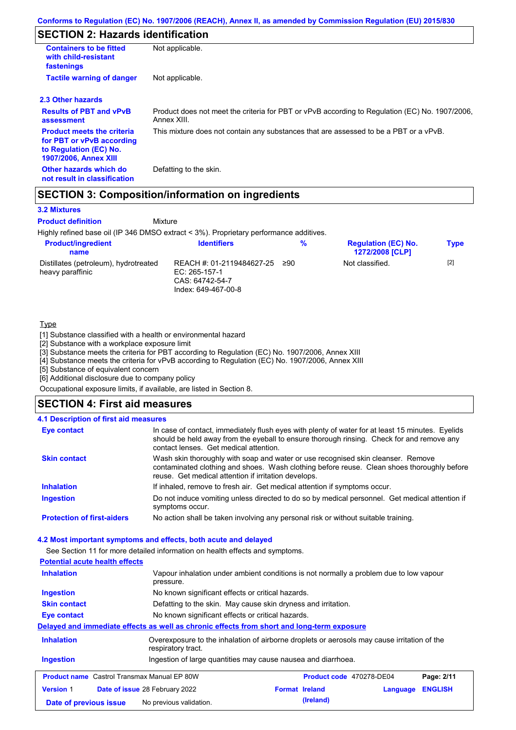# **SECTION 2: Hazards identification**

| <b>Containers to be fitted</b><br>with child-resistant<br>fastenings                                                     | Not applicable.                                                                                               |
|--------------------------------------------------------------------------------------------------------------------------|---------------------------------------------------------------------------------------------------------------|
| <b>Tactile warning of danger</b>                                                                                         | Not applicable.                                                                                               |
| 2.3 Other hazards                                                                                                        |                                                                                                               |
| <b>Results of PBT and vPvB</b><br>assessment                                                                             | Product does not meet the criteria for PBT or vPvB according to Regulation (EC) No. 1907/2006,<br>Annex XIII. |
| <b>Product meets the criteria</b><br>for PBT or vPvB according<br>to Regulation (EC) No.<br><b>1907/2006, Annex XIII</b> | This mixture does not contain any substances that are assessed to be a PBT or a vPvB.                         |
| Other hazards which do<br>not result in classification                                                                   | Defatting to the skin.                                                                                        |

### **SECTION 3: Composition/information on ingredients**

Mixture

### **3.2 Mixtures**

**Product definition**

Highly refined base oil (IP 346 DMSO extract < 3%). Proprietary performance additives.

| <b>Product/ingredient</b><br>name                         | <b>Identifiers</b>                                                                   | %   | <b>Regulation (EC) No.</b><br><b>1272/2008 [CLP]</b> | <b>Type</b> |
|-----------------------------------------------------------|--------------------------------------------------------------------------------------|-----|------------------------------------------------------|-------------|
| Distillates (petroleum), hydrotreated<br>heavy paraffinic | REACH #: 01-2119484627-25<br>EC: 265-157-1<br>CAS: 64742-54-7<br>Index: 649-467-00-8 | 290 | Not classified.                                      | $[2]$       |

### Type

[1] Substance classified with a health or environmental hazard

[2] Substance with a workplace exposure limit

[3] Substance meets the criteria for PBT according to Regulation (EC) No. 1907/2006, Annex XIII

[4] Substance meets the criteria for vPvB according to Regulation (EC) No. 1907/2006, Annex XIII

[5] Substance of equivalent concern

[6] Additional disclosure due to company policy

Occupational exposure limits, if available, are listed in Section 8.

### **SECTION 4: First aid measures**

### **4.1 Description of first aid measures**

| <b>Eye contact</b>                | In case of contact, immediately flush eyes with plenty of water for at least 15 minutes. Eyelids<br>should be held away from the eyeball to ensure thorough rinsing. Check for and remove any<br>contact lenses. Get medical attention. |
|-----------------------------------|-----------------------------------------------------------------------------------------------------------------------------------------------------------------------------------------------------------------------------------------|
| <b>Skin contact</b>               | Wash skin thoroughly with soap and water or use recognised skin cleanser. Remove<br>contaminated clothing and shoes. Wash clothing before reuse. Clean shoes thoroughly before<br>reuse. Get medical attention if irritation develops.  |
| <b>Inhalation</b>                 | If inhaled, remove to fresh air. Get medical attention if symptoms occur.                                                                                                                                                               |
| <b>Ingestion</b>                  | Do not induce vomiting unless directed to do so by medical personnel. Get medical attention if<br>symptoms occur.                                                                                                                       |
| <b>Protection of first-aiders</b> | No action shall be taken involving any personal risk or without suitable training.                                                                                                                                                      |

### **4.2 Most important symptoms and effects, both acute and delayed**

See Section 11 for more detailed information on health effects and symptoms.

| <b>Potential acute health effects</b>                                                             |                                                                                                                   |  |                          |          |                |
|---------------------------------------------------------------------------------------------------|-------------------------------------------------------------------------------------------------------------------|--|--------------------------|----------|----------------|
| <b>Inhalation</b>                                                                                 | Vapour inhalation under ambient conditions is not normally a problem due to low vapour<br>pressure.               |  |                          |          |                |
| No known significant effects or critical hazards.<br>Ingestion                                    |                                                                                                                   |  |                          |          |                |
| <b>Skin contact</b>                                                                               | Defatting to the skin. May cause skin dryness and irritation.                                                     |  |                          |          |                |
| Eye contact                                                                                       | No known significant effects or critical hazards.                                                                 |  |                          |          |                |
| <u>Delaved and immediate effects as well as chronic effects from short and long-term exposure</u> |                                                                                                                   |  |                          |          |                |
| <b>Inhalation</b>                                                                                 | Overexposure to the inhalation of airborne droplets or aerosols may cause irritation of the<br>respiratory tract. |  |                          |          |                |
| <b>Ingestion</b>                                                                                  | Ingestion of large quantities may cause nausea and diarrhoea.                                                     |  |                          |          |                |
| <b>Product name</b> Castrol Transmax Manual EP 80W                                                |                                                                                                                   |  | Product code 470278-DE04 |          | Page: 2/11     |
| <b>Version 1</b>                                                                                  | <b>Date of issue 28 February 2022</b>                                                                             |  | <b>Format Ireland</b>    | Language | <b>ENGLISH</b> |
| Date of previous issue                                                                            | No previous validation.                                                                                           |  | (Ireland)                |          |                |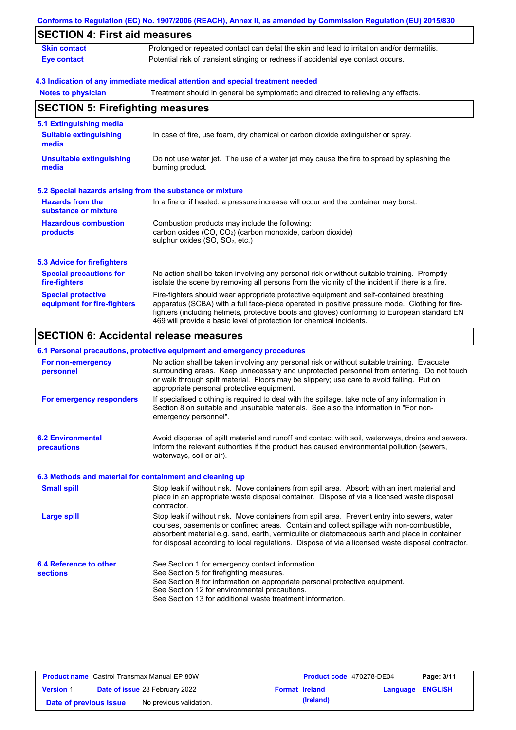|                                                           | Conforms to Regulation (EC) No. 1907/2006 (REACH), Annex II, as amended by Commission Regulation (EU) 2015/830                                                                                                                                                                                                                                                    |  |  |  |  |
|-----------------------------------------------------------|-------------------------------------------------------------------------------------------------------------------------------------------------------------------------------------------------------------------------------------------------------------------------------------------------------------------------------------------------------------------|--|--|--|--|
| <b>SECTION 4: First aid measures</b>                      |                                                                                                                                                                                                                                                                                                                                                                   |  |  |  |  |
| <b>Skin contact</b>                                       | Prolonged or repeated contact can defat the skin and lead to irritation and/or dermatitis.                                                                                                                                                                                                                                                                        |  |  |  |  |
| <b>Eye contact</b>                                        | Potential risk of transient stinging or redness if accidental eye contact occurs.                                                                                                                                                                                                                                                                                 |  |  |  |  |
|                                                           | 4.3 Indication of any immediate medical attention and special treatment needed                                                                                                                                                                                                                                                                                    |  |  |  |  |
| <b>Notes to physician</b>                                 | Treatment should in general be symptomatic and directed to relieving any effects.                                                                                                                                                                                                                                                                                 |  |  |  |  |
| <b>SECTION 5: Firefighting measures</b>                   |                                                                                                                                                                                                                                                                                                                                                                   |  |  |  |  |
| 5.1 Extinguishing media                                   |                                                                                                                                                                                                                                                                                                                                                                   |  |  |  |  |
| <b>Suitable extinguishing</b><br>media                    | In case of fire, use foam, dry chemical or carbon dioxide extinguisher or spray.                                                                                                                                                                                                                                                                                  |  |  |  |  |
| <b>Unsuitable extinguishing</b><br>media                  | Do not use water jet. The use of a water jet may cause the fire to spread by splashing the<br>burning product.                                                                                                                                                                                                                                                    |  |  |  |  |
| 5.2 Special hazards arising from the substance or mixture |                                                                                                                                                                                                                                                                                                                                                                   |  |  |  |  |
| <b>Hazards from the</b><br>substance or mixture           | In a fire or if heated, a pressure increase will occur and the container may burst.                                                                                                                                                                                                                                                                               |  |  |  |  |
| <b>Hazardous combustion</b><br>products                   | Combustion products may include the following:<br>carbon oxides (CO, CO <sub>2</sub> ) (carbon monoxide, carbon dioxide)<br>sulphur oxides (SO, SO <sub>2</sub> , etc.)                                                                                                                                                                                           |  |  |  |  |
| <b>5.3 Advice for firefighters</b>                        |                                                                                                                                                                                                                                                                                                                                                                   |  |  |  |  |
| <b>Special precautions for</b><br>fire-fighters           | No action shall be taken involving any personal risk or without suitable training. Promptly<br>isolate the scene by removing all persons from the vicinity of the incident if there is a fire.                                                                                                                                                                    |  |  |  |  |
| <b>Special protective</b><br>equipment for fire-fighters  | Fire-fighters should wear appropriate protective equipment and self-contained breathing<br>apparatus (SCBA) with a full face-piece operated in positive pressure mode. Clothing for fire-<br>fighters (including helmets, protective boots and gloves) conforming to European standard EN<br>469 will provide a basic level of protection for chemical incidents. |  |  |  |  |
| <b>SECTION 6: Accidental release measures</b>             |                                                                                                                                                                                                                                                                                                                                                                   |  |  |  |  |
|                                                           |                                                                                                                                                                                                                                                                                                                                                                   |  |  |  |  |

|                                                          | 6.1 Personal precautions, protective equipment and emergency procedures                                                                                                                                                                                                                                                                                                                        |
|----------------------------------------------------------|------------------------------------------------------------------------------------------------------------------------------------------------------------------------------------------------------------------------------------------------------------------------------------------------------------------------------------------------------------------------------------------------|
| For non-emergency<br>personnel                           | No action shall be taken involving any personal risk or without suitable training. Evacuate<br>surrounding areas. Keep unnecessary and unprotected personnel from entering. Do not touch<br>or walk through spilt material. Floors may be slippery; use care to avoid falling. Put on<br>appropriate personal protective equipment.                                                            |
| For emergency responders                                 | If specialised clothing is required to deal with the spillage, take note of any information in<br>Section 8 on suitable and unsuitable materials. See also the information in "For non-<br>emergency personnel".                                                                                                                                                                               |
| <b>6.2 Environmental</b><br><b>precautions</b>           | Avoid dispersal of spilt material and runoff and contact with soil, waterways, drains and sewers.<br>Inform the relevant authorities if the product has caused environmental pollution (sewers,<br>waterways, soil or air).                                                                                                                                                                    |
| 6.3 Methods and material for containment and cleaning up |                                                                                                                                                                                                                                                                                                                                                                                                |
| <b>Small spill</b>                                       | Stop leak if without risk. Move containers from spill area. Absorb with an inert material and<br>place in an appropriate waste disposal container. Dispose of via a licensed waste disposal<br>contractor.                                                                                                                                                                                     |
| <b>Large spill</b>                                       | Stop leak if without risk. Move containers from spill area. Prevent entry into sewers, water<br>courses, basements or confined areas. Contain and collect spillage with non-combustible,<br>absorbent material e.g. sand, earth, vermiculite or diatomaceous earth and place in container<br>for disposal according to local regulations. Dispose of via a licensed waste disposal contractor. |
| 6.4 Reference to other<br><b>sections</b>                | See Section 1 for emergency contact information.<br>See Section 5 for firefighting measures.<br>See Section 8 for information on appropriate personal protective equipment.<br>See Section 12 for environmental precautions.<br>See Section 13 for additional waste treatment information.                                                                                                     |

| <b>Product name</b> Castrol Transmax Manual EP 80W |  | <b>Product code</b> 470278-DE04       |  | Page: 3/11            |                         |  |
|----------------------------------------------------|--|---------------------------------------|--|-----------------------|-------------------------|--|
| <b>Version 1</b>                                   |  | <b>Date of issue 28 February 2022</b> |  | <b>Format Ireland</b> | <b>Language ENGLISH</b> |  |
| Date of previous issue                             |  | No previous validation.               |  | (Ireland)             |                         |  |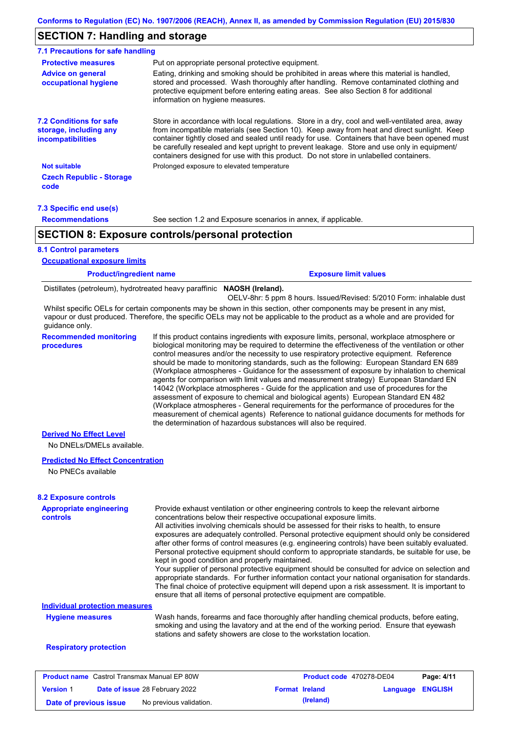### **SECTION 7: Handling and storage**

| 7.1 Precautions for safe handling                                                    |                                                                                                                                                                                                                                                                                                                                                                                                                                                                                          |
|--------------------------------------------------------------------------------------|------------------------------------------------------------------------------------------------------------------------------------------------------------------------------------------------------------------------------------------------------------------------------------------------------------------------------------------------------------------------------------------------------------------------------------------------------------------------------------------|
| <b>Protective measures</b>                                                           | Put on appropriate personal protective equipment.                                                                                                                                                                                                                                                                                                                                                                                                                                        |
| <b>Advice on general</b><br>occupational hygiene                                     | Eating, drinking and smoking should be prohibited in areas where this material is handled,<br>stored and processed. Wash thoroughly after handling. Remove contaminated clothing and<br>protective equipment before entering eating areas. See also Section 8 for additional<br>information on hygiene measures.                                                                                                                                                                         |
| <b>7.2 Conditions for safe</b><br>storage, including any<br><i>incompatibilities</i> | Store in accordance with local regulations. Store in a dry, cool and well-ventilated area, away<br>from incompatible materials (see Section 10). Keep away from heat and direct sunlight. Keep<br>container tightly closed and sealed until ready for use. Containers that have been opened must<br>be carefully resealed and kept upright to prevent leakage. Store and use only in equipment/<br>containers designed for use with this product. Do not store in unlabelled containers. |
| <b>Not suitable</b>                                                                  | Prolonged exposure to elevated temperature                                                                                                                                                                                                                                                                                                                                                                                                                                               |
| <b>Czech Republic - Storage</b><br>code                                              |                                                                                                                                                                                                                                                                                                                                                                                                                                                                                          |
| 7.3 Specific end use(s)                                                              |                                                                                                                                                                                                                                                                                                                                                                                                                                                                                          |
| <b>Recommendations</b>                                                               | See section 1.2 and Exposure scenarios in annex, if applicable.                                                                                                                                                                                                                                                                                                                                                                                                                          |
|                                                                                      | <b>SECTION 8: Exposure controls/personal protection</b>                                                                                                                                                                                                                                                                                                                                                                                                                                  |
| <b>8.1 Control parameters</b>                                                        |                                                                                                                                                                                                                                                                                                                                                                                                                                                                                          |

#### **Occupational exposure limits**

**Product/ingredient name Exposure limit values**

Distillates (petroleum), hydrotreated heavy paraffinic **NAOSH (Ireland).**

Whilst specific OELs for certain components may be shown in this section, other components may be present in any mist, vapour or dust produced. Therefore, the specific OELs may not be applicable to the product as a whole and are provided for guidance only. OELV-8hr: 5 ppm 8 hours. Issued/Revised: 5/2010 Form: inhalable dust

**Recommended monitoring procedures**

If this product contains ingredients with exposure limits, personal, workplace atmosphere or biological monitoring may be required to determine the effectiveness of the ventilation or other control measures and/or the necessity to use respiratory protective equipment. Reference should be made to monitoring standards, such as the following: European Standard EN 689 (Workplace atmospheres - Guidance for the assessment of exposure by inhalation to chemical agents for comparison with limit values and measurement strategy) European Standard EN 14042 (Workplace atmospheres - Guide for the application and use of procedures for the assessment of exposure to chemical and biological agents) European Standard EN 482 (Workplace atmospheres - General requirements for the performance of procedures for the measurement of chemical agents) Reference to national guidance documents for methods for the determination of hazardous substances will also be required.

### **Derived No Effect Level**

No DNELs/DMELs available.

### **Predicted No Effect Concentration**

No PNECs available

### **8.2 Exposure controls**

| <b>Appropriate engineering</b><br>controls | Provide exhaust ventilation or other engineering controls to keep the relevant airborne<br>concentrations below their respective occupational exposure limits.<br>All activities involving chemicals should be assessed for their risks to health, to ensure<br>exposures are adequately controlled. Personal protective equipment should only be considered<br>after other forms of control measures (e.g. engineering controls) have been suitably evaluated.<br>Personal protective equipment should conform to appropriate standards, be suitable for use, be<br>kept in good condition and properly maintained.<br>Your supplier of personal protective equipment should be consulted for advice on selection and<br>appropriate standards. For further information contact your national organisation for standards.<br>The final choice of protective equipment will depend upon a risk assessment. It is important to<br>ensure that all items of personal protective equipment are compatible. |
|--------------------------------------------|---------------------------------------------------------------------------------------------------------------------------------------------------------------------------------------------------------------------------------------------------------------------------------------------------------------------------------------------------------------------------------------------------------------------------------------------------------------------------------------------------------------------------------------------------------------------------------------------------------------------------------------------------------------------------------------------------------------------------------------------------------------------------------------------------------------------------------------------------------------------------------------------------------------------------------------------------------------------------------------------------------|
| <b>Individual protection measures</b>      |                                                                                                                                                                                                                                                                                                                                                                                                                                                                                                                                                                                                                                                                                                                                                                                                                                                                                                                                                                                                         |
| <b>Hygiene measures</b>                    | Wash hands, forearms and face thoroughly after handling chemical products, before eating,<br>smoking and using the lavatory and at the end of the working period. Ensure that eyewash<br>stations and safety showers are close to the workstation location.                                                                                                                                                                                                                                                                                                                                                                                                                                                                                                                                                                                                                                                                                                                                             |
| <b>Respiratory protection</b>              |                                                                                                                                                                                                                                                                                                                                                                                                                                                                                                                                                                                                                                                                                                                                                                                                                                                                                                                                                                                                         |

| <b>Product name</b> Castrol Transmax Manual EP 80W |  | <b>Product code</b> 470278-DE04       |                       | Page: 4/11       |  |
|----------------------------------------------------|--|---------------------------------------|-----------------------|------------------|--|
| <b>Version 1</b>                                   |  | <b>Date of issue 28 February 2022</b> | <b>Format Ireland</b> | Language ENGLISH |  |
| Date of previous issue                             |  | No previous validation.               | (Ireland)             |                  |  |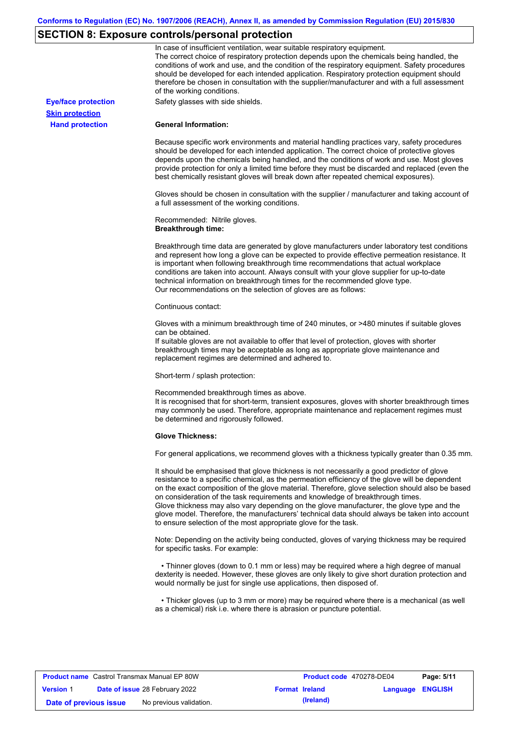# **SECTION 8: Exposure controls/personal protection**

|                            | In case of insufficient ventilation, wear suitable respiratory equipment.<br>The correct choice of respiratory protection depends upon the chemicals being handled, the<br>conditions of work and use, and the condition of the respiratory equipment. Safety procedures<br>should be developed for each intended application. Respiratory protection equipment should<br>therefore be chosen in consultation with the supplier/manufacturer and with a full assessment<br>of the working conditions.                                                                                                                                             |
|----------------------------|---------------------------------------------------------------------------------------------------------------------------------------------------------------------------------------------------------------------------------------------------------------------------------------------------------------------------------------------------------------------------------------------------------------------------------------------------------------------------------------------------------------------------------------------------------------------------------------------------------------------------------------------------|
| <b>Eye/face protection</b> | Safety glasses with side shields.                                                                                                                                                                                                                                                                                                                                                                                                                                                                                                                                                                                                                 |
| <b>Skin protection</b>     |                                                                                                                                                                                                                                                                                                                                                                                                                                                                                                                                                                                                                                                   |
| <b>Hand protection</b>     | <b>General Information:</b>                                                                                                                                                                                                                                                                                                                                                                                                                                                                                                                                                                                                                       |
|                            | Because specific work environments and material handling practices vary, safety procedures<br>should be developed for each intended application. The correct choice of protective gloves<br>depends upon the chemicals being handled, and the conditions of work and use. Most gloves<br>provide protection for only a limited time before they must be discarded and replaced (even the<br>best chemically resistant gloves will break down after repeated chemical exposures).                                                                                                                                                                  |
|                            | Gloves should be chosen in consultation with the supplier / manufacturer and taking account of<br>a full assessment of the working conditions.                                                                                                                                                                                                                                                                                                                                                                                                                                                                                                    |
|                            | Recommended: Nitrile gloves.<br><b>Breakthrough time:</b>                                                                                                                                                                                                                                                                                                                                                                                                                                                                                                                                                                                         |
|                            | Breakthrough time data are generated by glove manufacturers under laboratory test conditions<br>and represent how long a glove can be expected to provide effective permeation resistance. It<br>is important when following breakthrough time recommendations that actual workplace<br>conditions are taken into account. Always consult with your glove supplier for up-to-date<br>technical information on breakthrough times for the recommended glove type.<br>Our recommendations on the selection of gloves are as follows:                                                                                                                |
|                            | Continuous contact:                                                                                                                                                                                                                                                                                                                                                                                                                                                                                                                                                                                                                               |
|                            | Gloves with a minimum breakthrough time of 240 minutes, or >480 minutes if suitable gloves<br>can be obtained.<br>If suitable gloves are not available to offer that level of protection, gloves with shorter<br>breakthrough times may be acceptable as long as appropriate glove maintenance and<br>replacement regimes are determined and adhered to.                                                                                                                                                                                                                                                                                          |
|                            | Short-term / splash protection:                                                                                                                                                                                                                                                                                                                                                                                                                                                                                                                                                                                                                   |
|                            | Recommended breakthrough times as above.<br>It is recognised that for short-term, transient exposures, gloves with shorter breakthrough times<br>may commonly be used. Therefore, appropriate maintenance and replacement regimes must<br>be determined and rigorously followed.                                                                                                                                                                                                                                                                                                                                                                  |
|                            | <b>Glove Thickness:</b>                                                                                                                                                                                                                                                                                                                                                                                                                                                                                                                                                                                                                           |
|                            | For general applications, we recommend gloves with a thickness typically greater than 0.35 mm.                                                                                                                                                                                                                                                                                                                                                                                                                                                                                                                                                    |
|                            | It should be emphasised that glove thickness is not necessarily a good predictor of glove<br>resistance to a specific chemical, as the permeation efficiency of the glove will be dependent<br>on the exact composition of the glove material. Therefore, glove selection should also be based<br>on consideration of the task requirements and knowledge of breakthrough times.<br>Glove thickness may also vary depending on the glove manufacturer, the glove type and the<br>glove model. Therefore, the manufacturers' technical data should always be taken into account<br>to ensure selection of the most appropriate glove for the task. |
|                            | Note: Depending on the activity being conducted, gloves of varying thickness may be required<br>for specific tasks. For example:                                                                                                                                                                                                                                                                                                                                                                                                                                                                                                                  |
|                            | • Thinner gloves (down to 0.1 mm or less) may be required where a high degree of manual<br>dexterity is needed. However, these gloves are only likely to give short duration protection and<br>would normally be just for single use applications, then disposed of.                                                                                                                                                                                                                                                                                                                                                                              |
|                            | • Thicker gloves (up to 3 mm or more) may be required where there is a mechanical (as well<br>as a chemical) risk i.e. where there is abrasion or puncture potential.                                                                                                                                                                                                                                                                                                                                                                                                                                                                             |

| <b>Product name</b> Castrol Transmax Manual EP 80W |  |                                       | Product code 470278-DE04<br>Page: 5/11 |           |                         |  |
|----------------------------------------------------|--|---------------------------------------|----------------------------------------|-----------|-------------------------|--|
| <b>Version 1</b>                                   |  | <b>Date of issue 28 February 2022</b> | <b>Format Ireland</b>                  |           | <b>Language ENGLISH</b> |  |
| Date of previous issue                             |  | No previous validation.               |                                        | (Ireland) |                         |  |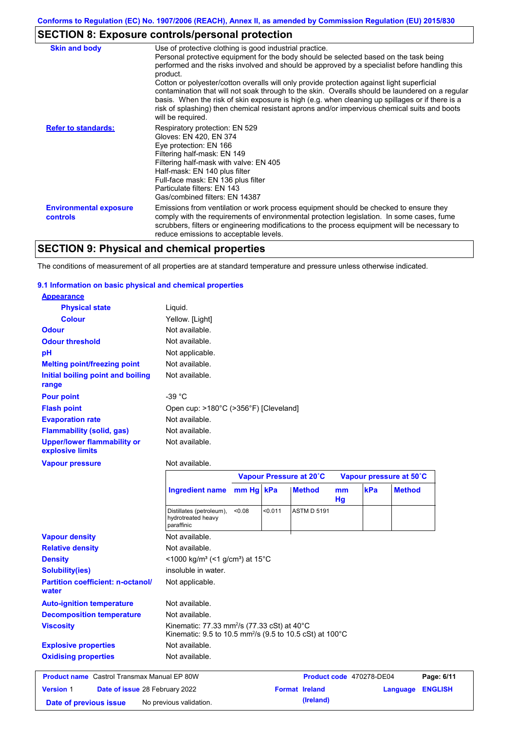# **SECTION 8: Exposure controls/personal protection**

| <b>Skin and body</b>                             | Use of protective clothing is good industrial practice.                                                                                                                                                                                                                                                                                                                                                               |
|--------------------------------------------------|-----------------------------------------------------------------------------------------------------------------------------------------------------------------------------------------------------------------------------------------------------------------------------------------------------------------------------------------------------------------------------------------------------------------------|
|                                                  | Personal protective equipment for the body should be selected based on the task being<br>performed and the risks involved and should be approved by a specialist before handling this<br>product.                                                                                                                                                                                                                     |
|                                                  | Cotton or polyester/cotton overalls will only provide protection against light superficial<br>contamination that will not soak through to the skin. Overalls should be laundered on a regular<br>basis. When the risk of skin exposure is high (e.g. when cleaning up spillages or if there is a<br>risk of splashing) then chemical resistant aprons and/or impervious chemical suits and boots<br>will be required. |
| <b>Refer to standards:</b>                       | Respiratory protection: EN 529<br>Gloves: EN 420, EN 374<br>Eye protection: EN 166<br>Filtering half-mask: EN 149<br>Filtering half-mask with valve: EN 405<br>Half-mask: EN 140 plus filter<br>Full-face mask: EN 136 plus filter<br>Particulate filters: EN 143<br>Gas/combined filters: EN 14387                                                                                                                   |
| <b>Environmental exposure</b><br><b>controls</b> | Emissions from ventilation or work process equipment should be checked to ensure they<br>comply with the requirements of environmental protection legislation. In some cases, fume<br>scrubbers, filters or engineering modifications to the process equipment will be necessary to<br>reduce emissions to acceptable levels.                                                                                         |

# **SECTION 9: Physical and chemical properties**

The conditions of measurement of all properties are at standard temperature and pressure unless otherwise indicated.

### **9.1 Information on basic physical and chemical properties**

| <b>Appearance</b>                                      |                                                                      |           |                         |                          |          |     |                         |                |
|--------------------------------------------------------|----------------------------------------------------------------------|-----------|-------------------------|--------------------------|----------|-----|-------------------------|----------------|
| <b>Physical state</b>                                  | Liquid.                                                              |           |                         |                          |          |     |                         |                |
| <b>Colour</b>                                          | Yellow. [Light]                                                      |           |                         |                          |          |     |                         |                |
| <b>Odour</b>                                           | Not available.                                                       |           |                         |                          |          |     |                         |                |
| <b>Odour threshold</b>                                 | Not available.                                                       |           |                         |                          |          |     |                         |                |
| pH                                                     | Not applicable.                                                      |           |                         |                          |          |     |                         |                |
| <b>Melting point/freezing point</b>                    | Not available.                                                       |           |                         |                          |          |     |                         |                |
| Initial boiling point and boiling<br>range             | Not available.                                                       |           |                         |                          |          |     |                         |                |
| <b>Pour point</b>                                      | -39 $^{\circ}$ C                                                     |           |                         |                          |          |     |                         |                |
| <b>Flash point</b>                                     | Open cup: >180°C (>356°F) [Cleveland]                                |           |                         |                          |          |     |                         |                |
| <b>Evaporation rate</b>                                | Not available.                                                       |           |                         |                          |          |     |                         |                |
| <b>Flammability (solid, gas)</b>                       | Not available.                                                       |           |                         |                          |          |     |                         |                |
| <b>Upper/lower flammability or</b><br>explosive limits | Not available.                                                       |           |                         |                          |          |     |                         |                |
| <b>Vapour pressure</b>                                 | Not available.                                                       |           |                         |                          |          |     |                         |                |
|                                                        |                                                                      |           | Vapour Pressure at 20°C |                          |          |     | Vapour pressure at 50°C |                |
|                                                        | <b>Ingredient name</b>                                               | mm Hg kPa |                         | <b>Method</b>            | mm<br>Hg | kPa | <b>Method</b>           |                |
|                                                        | Distillates (petroleum),<br>hydrotreated heavy<br>paraffinic         | <0.08     | 0.011                   | <b>ASTM D 5191</b>       |          |     |                         |                |
| <b>Vapour density</b>                                  | Not available.                                                       |           |                         |                          |          |     |                         |                |
| <b>Relative density</b>                                | Not available.                                                       |           |                         |                          |          |     |                         |                |
| <b>Density</b>                                         | <1000 kg/m <sup>3</sup> (<1 g/cm <sup>3</sup> ) at 15 <sup>°</sup> C |           |                         |                          |          |     |                         |                |
| <b>Solubility(ies)</b>                                 | insoluble in water.                                                  |           |                         |                          |          |     |                         |                |
| <b>Partition coefficient: n-octanol/</b><br>water      | Not applicable.                                                      |           |                         |                          |          |     |                         |                |
| <b>Auto-ignition temperature</b>                       | Not available.                                                       |           |                         |                          |          |     |                         |                |
| <b>Decomposition temperature</b>                       | Not available.                                                       |           |                         |                          |          |     |                         |                |
| <b>Viscosity</b>                                       | Kinematic: 77.33 mm <sup>2</sup> /s (77.33 cSt) at 40°C              |           |                         |                          |          |     |                         |                |
|                                                        | Kinematic: 9.5 to 10.5 mm <sup>2</sup> /s (9.5 to 10.5 cSt) at 100°C |           |                         |                          |          |     |                         |                |
| <b>Explosive properties</b>                            | Not available.                                                       |           |                         |                          |          |     |                         |                |
| <b>Oxidising properties</b>                            | Not available.                                                       |           |                         |                          |          |     |                         |                |
| <b>Product name</b> Castrol Transmax Manual EP 80W     |                                                                      |           |                         | Product code 470278-DE04 |          |     |                         | Page: 6/11     |
| <b>Version 1</b><br>Date of issue 28 February 2022     |                                                                      |           |                         | <b>Format Ireland</b>    |          |     | Language                | <b>ENGLISH</b> |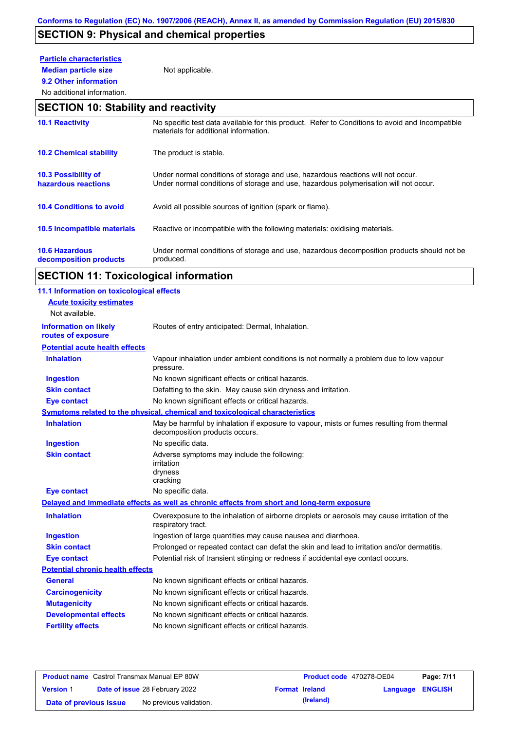# **SECTION 9: Physical and chemical properties**

# **Particle characteristics**

**9.2 Other information**

**Median particle size** Not applicable.

# No additional information.

## **SECTION 10: Stability and reactivity**

| <b>10.1 Reactivity</b>                            | No specific test data available for this product. Refer to Conditions to avoid and Incompatible<br>materials for additional information.                                |
|---------------------------------------------------|-------------------------------------------------------------------------------------------------------------------------------------------------------------------------|
| <b>10.2 Chemical stability</b>                    | The product is stable.                                                                                                                                                  |
| <b>10.3 Possibility of</b><br>hazardous reactions | Under normal conditions of storage and use, hazardous reactions will not occur.<br>Under normal conditions of storage and use, hazardous polymerisation will not occur. |
| <b>10.4 Conditions to avoid</b>                   | Avoid all possible sources of ignition (spark or flame).                                                                                                                |
| <b>10.5 Incompatible materials</b>                | Reactive or incompatible with the following materials: oxidising materials.                                                                                             |
| <b>10.6 Hazardous</b><br>decomposition products   | Under normal conditions of storage and use, hazardous decomposition products should not be<br>produced.                                                                 |

# **SECTION 11: Toxicological information**

| 11.1 Information on toxicological effects          |                                                                                                                             |
|----------------------------------------------------|-----------------------------------------------------------------------------------------------------------------------------|
| <b>Acute toxicity estimates</b>                    |                                                                                                                             |
| Not available.                                     |                                                                                                                             |
| <b>Information on likely</b><br>routes of exposure | Routes of entry anticipated: Dermal, Inhalation.                                                                            |
| <b>Potential acute health effects</b>              |                                                                                                                             |
| <b>Inhalation</b>                                  | Vapour inhalation under ambient conditions is not normally a problem due to low vapour<br>pressure.                         |
| <b>Ingestion</b>                                   | No known significant effects or critical hazards.                                                                           |
| <b>Skin contact</b>                                | Defatting to the skin. May cause skin dryness and irritation.                                                               |
| <b>Eye contact</b>                                 | No known significant effects or critical hazards.                                                                           |
|                                                    | Symptoms related to the physical, chemical and toxicological characteristics                                                |
| <b>Inhalation</b>                                  | May be harmful by inhalation if exposure to vapour, mists or fumes resulting from thermal<br>decomposition products occurs. |
| <b>Ingestion</b>                                   | No specific data.                                                                                                           |
| <b>Skin contact</b>                                | Adverse symptoms may include the following:<br>irritation<br>dryness<br>cracking                                            |
| <b>Eye contact</b>                                 | No specific data.                                                                                                           |
|                                                    | Delayed and immediate effects as well as chronic effects from short and long-term exposure                                  |
| <b>Inhalation</b>                                  | Overexposure to the inhalation of airborne droplets or aerosols may cause irritation of the<br>respiratory tract.           |
| <b>Ingestion</b>                                   | Ingestion of large quantities may cause nausea and diarrhoea.                                                               |
| <b>Skin contact</b>                                | Prolonged or repeated contact can defat the skin and lead to irritation and/or dermatitis.                                  |
| <b>Eye contact</b>                                 | Potential risk of transient stinging or redness if accidental eye contact occurs.                                           |
| <b>Potential chronic health effects</b>            |                                                                                                                             |
| <b>General</b>                                     | No known significant effects or critical hazards.                                                                           |
| <b>Carcinogenicity</b>                             | No known significant effects or critical hazards.                                                                           |
| <b>Mutagenicity</b>                                | No known significant effects or critical hazards.                                                                           |
| <b>Developmental effects</b>                       | No known significant effects or critical hazards.                                                                           |
| <b>Fertility effects</b>                           | No known significant effects or critical hazards.                                                                           |
|                                                    |                                                                                                                             |

|                        | <b>Product name</b> Castrol Transmax Manual EP 80W |                       | Product code 470278-DE04 |                         | Page: 7/11 |
|------------------------|----------------------------------------------------|-----------------------|--------------------------|-------------------------|------------|
| <b>Version 1</b>       | <b>Date of issue 28 February 2022</b>              | <b>Format Ireland</b> |                          | <b>Language ENGLISH</b> |            |
| Date of previous issue | No previous validation.                            |                       | (Ireland)                |                         |            |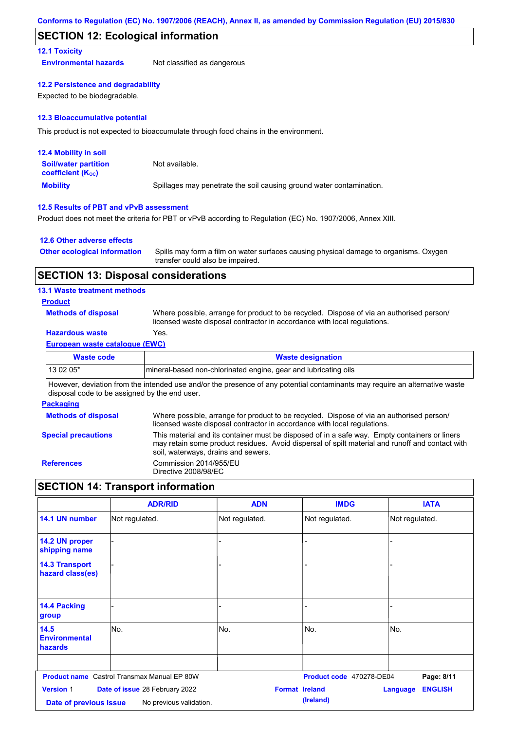### **SECTION 12: Ecological information**

### **12.1 Toxicity**

**Environmental hazards** Not classified as dangerous

### **12.2 Persistence and degradability**

Expected to be biodegradable.

### **12.3 Bioaccumulative potential**

This product is not expected to bioaccumulate through food chains in the environment.

| <b>12.4 Mobility in soil</b>                                  |                                                                      |
|---------------------------------------------------------------|----------------------------------------------------------------------|
| <b>Soil/water partition</b><br>coefficient (K <sub>oc</sub> ) | Not available.                                                       |
| <b>Mobility</b>                                               | Spillages may penetrate the soil causing ground water contamination. |

### **12.5 Results of PBT and vPvB assessment**

Product does not meet the criteria for PBT or vPvB according to Regulation (EC) No. 1907/2006, Annex XIII.

### **12.6 Other adverse effects**

| <b>Other ecological information</b> | Spills may form a film on water surfaces causing physical damage to organisms. Oxygen |
|-------------------------------------|---------------------------------------------------------------------------------------|
|                                     | transfer could also be impaired.                                                      |

### **SECTION 13: Disposal considerations**

### **13.1 Waste treatment methods**

### **Product**

**Methods of disposal**

Where possible, arrange for product to be recycled. Dispose of via an authorised person/ licensed waste disposal contractor in accordance with local regulations.

### **Hazardous waste** Yes.

### **European waste catalogue (EWC)**

| Waste code | <b>Waste designation</b>                                         |
|------------|------------------------------------------------------------------|
| $130205*$  | Imineral-based non-chlorinated engine, gear and lubricating oils |

However, deviation from the intended use and/or the presence of any potential contaminants may require an alternative waste disposal code to be assigned by the end user.

### **Packaging**

| <b>Methods of disposal</b> | Where possible, arrange for product to be recycled. Dispose of via an authorised person/<br>licensed waste disposal contractor in accordance with local regulations.                                                                    |
|----------------------------|-----------------------------------------------------------------------------------------------------------------------------------------------------------------------------------------------------------------------------------------|
| <b>Special precautions</b> | This material and its container must be disposed of in a safe way. Empty containers or liners<br>may retain some product residues. Avoid dispersal of spilt material and runoff and contact with<br>soil, waterways, drains and sewers. |
| <b>References</b>          | Commission 2014/955/EU<br>Directive 2008/98/EC                                                                                                                                                                                          |

## **SECTION 14: Transport information**

|                                                                                                                                  | <b>ADR/RID</b>                                     | <b>ADN</b>     | <b>IMDG</b>              | <b>IATA</b>                       |
|----------------------------------------------------------------------------------------------------------------------------------|----------------------------------------------------|----------------|--------------------------|-----------------------------------|
| 14.1 UN number                                                                                                                   | Not regulated.                                     | Not regulated. | Not regulated.           | Not regulated.                    |
| 14.2 UN proper<br>shipping name                                                                                                  |                                                    | -              |                          |                                   |
| <b>14.3 Transport</b><br>hazard class(es)                                                                                        |                                                    |                |                          |                                   |
| <b>14.4 Packing</b><br>group                                                                                                     |                                                    | -              |                          |                                   |
| 14.5<br><b>Environmental</b><br>hazards                                                                                          | No.                                                | No.            | No.                      | No.                               |
|                                                                                                                                  | <b>Product name</b> Castrol Transmax Manual EP 80W |                | Product code 470278-DE04 | Page: 8/11                        |
| <b>Version 1</b><br><b>Format Ireland</b><br>Date of issue 28 February 2022<br>No previous validation.<br>Date of previous issue |                                                    |                | (Ireland)                | <b>ENGLISH</b><br><b>Language</b> |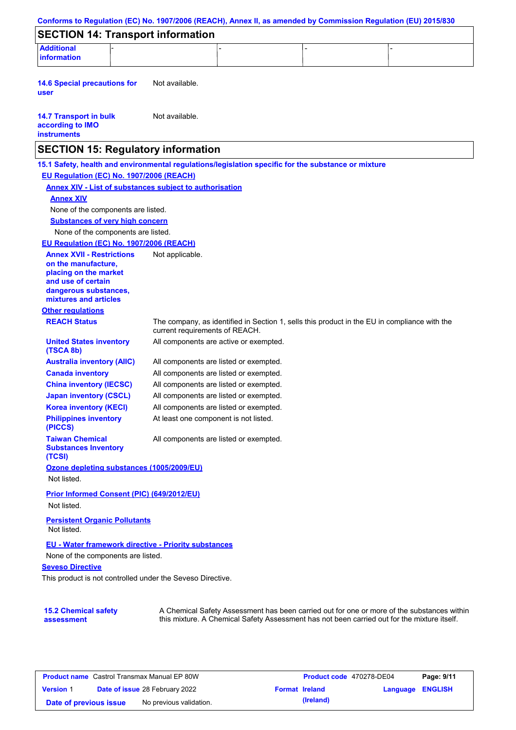|                                                                                                        |                                        | Conforms to Regulation (EC) No. 1907/2006 (REACH), Annex II, as amended by Commission Regulation (EU) 2015/830                                                                            |  |
|--------------------------------------------------------------------------------------------------------|----------------------------------------|-------------------------------------------------------------------------------------------------------------------------------------------------------------------------------------------|--|
| <b>SECTION 14: Transport information</b>                                                               |                                        |                                                                                                                                                                                           |  |
| <b>Additional</b><br><b>information</b>                                                                |                                        |                                                                                                                                                                                           |  |
|                                                                                                        |                                        |                                                                                                                                                                                           |  |
| <b>14.6 Special precautions for</b><br>user                                                            | Not available.                         |                                                                                                                                                                                           |  |
| <b>14.7 Transport in bulk</b><br>according to IMO<br><b>instruments</b>                                | Not available.                         |                                                                                                                                                                                           |  |
| <b>SECTION 15: Regulatory information</b>                                                              |                                        |                                                                                                                                                                                           |  |
| 15.1 Safety, health and environmental regulations/legislation specific for the substance or mixture    |                                        |                                                                                                                                                                                           |  |
| EU Regulation (EC) No. 1907/2006 (REACH)                                                               |                                        |                                                                                                                                                                                           |  |
| <b>Annex XIV - List of substances subject to authorisation</b>                                         |                                        |                                                                                                                                                                                           |  |
| <b>Annex XIV</b>                                                                                       |                                        |                                                                                                                                                                                           |  |
| None of the components are listed.                                                                     |                                        |                                                                                                                                                                                           |  |
| <b>Substances of very high concern</b>                                                                 |                                        |                                                                                                                                                                                           |  |
| None of the components are listed.                                                                     |                                        |                                                                                                                                                                                           |  |
| EU Regulation (EC) No. 1907/2006 (REACH)                                                               |                                        |                                                                                                                                                                                           |  |
| <b>Annex XVII - Restrictions</b><br>on the manufacture.<br>placing on the market<br>and use of certain | Not applicable.                        |                                                                                                                                                                                           |  |
| dangerous substances,<br>mixtures and articles                                                         |                                        |                                                                                                                                                                                           |  |
| <b>Other regulations</b>                                                                               |                                        |                                                                                                                                                                                           |  |
| <b>REACH Status</b>                                                                                    | current requirements of REACH.         | The company, as identified in Section 1, sells this product in the EU in compliance with the                                                                                              |  |
| <b>United States inventory</b><br>(TSCA 8b)                                                            | All components are active or exempted. |                                                                                                                                                                                           |  |
| <b>Australia inventory (AIIC)</b>                                                                      | All components are listed or exempted. |                                                                                                                                                                                           |  |
| <b>Canada inventory</b>                                                                                | All components are listed or exempted. |                                                                                                                                                                                           |  |
| <b>China inventory (IECSC)</b>                                                                         | All components are listed or exempted. |                                                                                                                                                                                           |  |
| <b>Japan inventory (CSCL)</b>                                                                          | All components are listed or exempted. |                                                                                                                                                                                           |  |
| <b>Korea inventory (KECI)</b>                                                                          | All components are listed or exempted. |                                                                                                                                                                                           |  |
| <b>Philippines inventory</b><br>(PICCS)                                                                | At least one component is not listed.  |                                                                                                                                                                                           |  |
| <b>Taiwan Chemical</b><br><b>Substances Inventory</b><br>(TCSI)                                        | All components are listed or exempted. |                                                                                                                                                                                           |  |
| Ozone depleting substances (1005/2009/EU)                                                              |                                        |                                                                                                                                                                                           |  |
| Not listed.                                                                                            |                                        |                                                                                                                                                                                           |  |
| Prior Informed Consent (PIC) (649/2012/EU)<br>Not listed.                                              |                                        |                                                                                                                                                                                           |  |
|                                                                                                        |                                        |                                                                                                                                                                                           |  |
| <b>Persistent Organic Pollutants</b><br>Not listed.                                                    |                                        |                                                                                                                                                                                           |  |
| EU - Water framework directive - Priority substances                                                   |                                        |                                                                                                                                                                                           |  |
| None of the components are listed.                                                                     |                                        |                                                                                                                                                                                           |  |
| <b>Seveso Directive</b>                                                                                |                                        |                                                                                                                                                                                           |  |
| This product is not controlled under the Seveso Directive.                                             |                                        |                                                                                                                                                                                           |  |
|                                                                                                        |                                        |                                                                                                                                                                                           |  |
| <b>15.2 Chemical safety</b><br>assessment                                                              |                                        | A Chemical Safety Assessment has been carried out for one or more of the substances within<br>this mixture. A Chemical Safety Assessment has not been carried out for the mixture itself. |  |

| <b>Product name</b> Castrol Transmax Manual EP 80W |  |                                       | <b>Product code</b> 470278-DE04 |                       | Page: 9/11              |  |
|----------------------------------------------------|--|---------------------------------------|---------------------------------|-----------------------|-------------------------|--|
| <b>Version 1</b>                                   |  | <b>Date of issue 28 February 2022</b> |                                 | <b>Format Ireland</b> | <b>Language ENGLISH</b> |  |
| Date of previous issue                             |  | No previous validation.               |                                 | (Ireland)             |                         |  |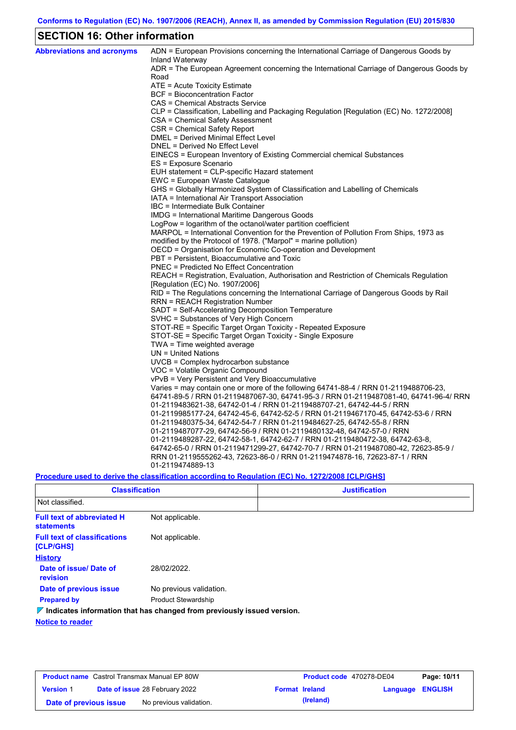## **SECTION 16: Other information**

| <b>Abbreviations and acronyms</b> | ADN = European Provisions concerning the International Carriage of Dangerous Goods by<br>Inland Waterway |
|-----------------------------------|----------------------------------------------------------------------------------------------------------|
|                                   | ADR = The European Agreement concerning the International Carriage of Dangerous Goods by<br>Road         |
|                                   | ATE = Acute Toxicity Estimate                                                                            |
|                                   | <b>BCF</b> = Bioconcentration Factor                                                                     |
|                                   | CAS = Chemical Abstracts Service                                                                         |
|                                   | CLP = Classification, Labelling and Packaging Regulation [Regulation (EC) No. 1272/2008]                 |
|                                   | CSA = Chemical Safety Assessment                                                                         |
|                                   | CSR = Chemical Safety Report                                                                             |
|                                   | DMEL = Derived Minimal Effect Level                                                                      |
|                                   | DNEL = Derived No Effect Level                                                                           |
|                                   | EINECS = European Inventory of Existing Commercial chemical Substances                                   |
|                                   | ES = Exposure Scenario                                                                                   |
|                                   | EUH statement = CLP-specific Hazard statement                                                            |
|                                   | EWC = European Waste Catalogue                                                                           |
|                                   | GHS = Globally Harmonized System of Classification and Labelling of Chemicals                            |
|                                   | IATA = International Air Transport Association                                                           |
|                                   | IBC = Intermediate Bulk Container                                                                        |
|                                   | IMDG = International Maritime Dangerous Goods                                                            |
|                                   | LogPow = logarithm of the octanol/water partition coefficient                                            |
|                                   | MARPOL = International Convention for the Prevention of Pollution From Ships, 1973 as                    |
|                                   | modified by the Protocol of 1978. ("Marpol" = marine pollution)                                          |
|                                   | OECD = Organisation for Economic Co-operation and Development                                            |
|                                   | PBT = Persistent, Bioaccumulative and Toxic                                                              |
|                                   | <b>PNEC</b> = Predicted No Effect Concentration                                                          |
|                                   | REACH = Registration, Evaluation, Authorisation and Restriction of Chemicals Regulation                  |
|                                   | [Regulation (EC) No. 1907/2006]                                                                          |
|                                   | RID = The Regulations concerning the International Carriage of Dangerous Goods by Rail                   |
|                                   | <b>RRN = REACH Registration Number</b>                                                                   |
|                                   | SADT = Self-Accelerating Decomposition Temperature                                                       |
|                                   | SVHC = Substances of Very High Concern                                                                   |
|                                   | STOT-RE = Specific Target Organ Toxicity - Repeated Exposure                                             |
|                                   | STOT-SE = Specific Target Organ Toxicity - Single Exposure                                               |
|                                   | TWA = Time weighted average                                                                              |
|                                   | $UN = United Nations$                                                                                    |
|                                   | $UVCB = Complex\;hydrocarbon\; substance$<br>VOC = Volatile Organic Compound                             |
|                                   | vPvB = Very Persistent and Very Bioaccumulative                                                          |
|                                   | Varies = may contain one or more of the following 64741-88-4 / RRN 01-2119488706-23,                     |
|                                   | 64741-89-5 / RRN 01-2119487067-30, 64741-95-3 / RRN 01-2119487081-40, 64741-96-4/ RRN                    |
|                                   | 01-2119483621-38, 64742-01-4 / RRN 01-2119488707-21, 64742-44-5 / RRN                                    |
|                                   | 01-2119985177-24, 64742-45-6, 64742-52-5 / RRN 01-2119467170-45, 64742-53-6 / RRN                        |
|                                   | 01-2119480375-34, 64742-54-7 / RRN 01-2119484627-25, 64742-55-8 / RRN                                    |
|                                   | 01-2119487077-29, 64742-56-9 / RRN 01-2119480132-48, 64742-57-0 / RRN                                    |
|                                   | 01-2119489287-22, 64742-58-1, 64742-62-7 / RRN 01-2119480472-38, 64742-63-8,                             |
|                                   | 64742-65-0 / RRN 01-2119471299-27, 64742-70-7 / RRN 01-2119487080-42, 72623-85-9 /                       |
|                                   | RRN 01-2119555262-43, 72623-86-0 / RRN 01-2119474878-16, 72623-87-1 / RRN                                |
|                                   | 01-2119474889-13                                                                                         |
|                                   |                                                                                                          |

### **Procedure used to derive the classification according to Regulation (EC) No. 1272/2008 [CLP/GHS]**

| <b>Classification</b><br>Not classified.               |                                                                                 | <b>Justification</b> |  |  |
|--------------------------------------------------------|---------------------------------------------------------------------------------|----------------------|--|--|
|                                                        |                                                                                 |                      |  |  |
| <b>Full text of abbreviated H</b><br><b>statements</b> | Not applicable.                                                                 |                      |  |  |
| <b>Full text of classifications</b><br>[CLP/GHS]       | Not applicable.                                                                 |                      |  |  |
| <b>History</b>                                         |                                                                                 |                      |  |  |
| Date of issue/Date of<br>revision                      | 28/02/2022.                                                                     |                      |  |  |
| Date of previous issue                                 | No previous validation.                                                         |                      |  |  |
| <b>Prepared by</b>                                     | <b>Product Stewardship</b>                                                      |                      |  |  |
|                                                        | $\nabla$ Indicates information that has changed from previously issued version. |                      |  |  |
| <b>Notice to reader</b>                                |                                                                                 |                      |  |  |

| <b>Product name</b> Castrol Transmax Manual EP 80W |  |                                       | Product code 470278-DE04 |                       | Page: 10/11      |  |
|----------------------------------------------------|--|---------------------------------------|--------------------------|-----------------------|------------------|--|
| <b>Version 1</b>                                   |  | <b>Date of issue 28 February 2022</b> |                          | <b>Format Ireland</b> | Language ENGLISH |  |
| Date of previous issue                             |  | No previous validation.               |                          | (Ireland)             |                  |  |